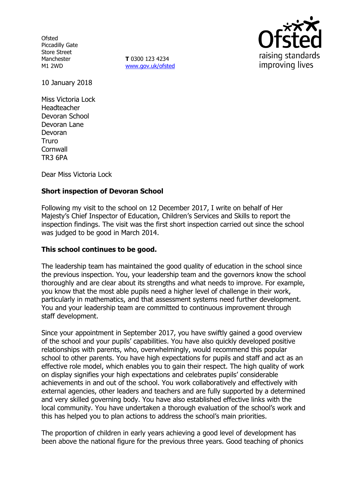**Ofsted** Piccadilly Gate Store Street Manchester M1 2WD

**T** 0300 123 4234 www.gov.uk/ofsted



10 January 2018

Miss Victoria Lock Headteacher Devoran School Devoran Lane Devoran Truro **Cornwall** TR3 6PA

Dear Miss Victoria Lock

# **Short inspection of Devoran School**

Following my visit to the school on 12 December 2017, I write on behalf of Her Majesty's Chief Inspector of Education, Children's Services and Skills to report the inspection findings. The visit was the first short inspection carried out since the school was judged to be good in March 2014.

## **This school continues to be good.**

The leadership team has maintained the good quality of education in the school since the previous inspection. You, your leadership team and the governors know the school thoroughly and are clear about its strengths and what needs to improve. For example, you know that the most able pupils need a higher level of challenge in their work, particularly in mathematics, and that assessment systems need further development. You and your leadership team are committed to continuous improvement through staff development.

Since your appointment in September 2017, you have swiftly gained a good overview of the school and your pupils' capabilities. You have also quickly developed positive relationships with parents, who, overwhelmingly, would recommend this popular school to other parents. You have high expectations for pupils and staff and act as an effective role model, which enables you to gain their respect. The high quality of work on display signifies your high expectations and celebrates pupils' considerable achievements in and out of the school. You work collaboratively and effectively with external agencies, other leaders and teachers and are fully supported by a determined and very skilled governing body. You have also established effective links with the local community. You have undertaken a thorough evaluation of the school's work and this has helped you to plan actions to address the school's main priorities.

The proportion of children in early years achieving a good level of development has been above the national figure for the previous three years. Good teaching of phonics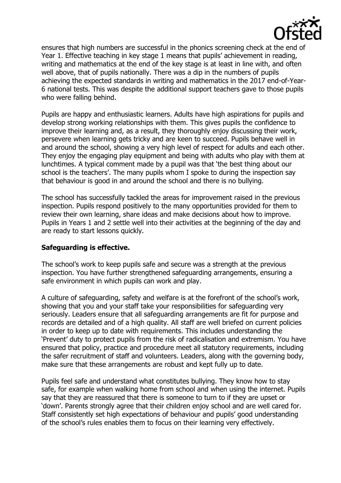

ensures that high numbers are successful in the phonics screening check at the end of Year 1. Effective teaching in key stage 1 means that pupils' achievement in reading, writing and mathematics at the end of the key stage is at least in line with, and often well above, that of pupils nationally. There was a dip in the numbers of pupils achieving the expected standards in writing and mathematics in the 2017 end-of-Year-6 national tests. This was despite the additional support teachers gave to those pupils who were falling behind.

Pupils are happy and enthusiastic learners. Adults have high aspirations for pupils and develop strong working relationships with them. This gives pupils the confidence to improve their learning and, as a result, they thoroughly enjoy discussing their work, persevere when learning gets tricky and are keen to succeed. Pupils behave well in and around the school, showing a very high level of respect for adults and each other. They enjoy the engaging play equipment and being with adults who play with them at lunchtimes. A typical comment made by a pupil was that 'the best thing about our school is the teachers'. The many pupils whom I spoke to during the inspection say that behaviour is good in and around the school and there is no bullying.

The school has successfully tackled the areas for improvement raised in the previous inspection. Pupils respond positively to the many opportunities provided for them to review their own learning, share ideas and make decisions about how to improve. Pupils in Years 1 and 2 settle well into their activities at the beginning of the day and are ready to start lessons quickly.

## **Safeguarding is effective.**

The school's work to keep pupils safe and secure was a strength at the previous inspection. You have further strengthened safeguarding arrangements, ensuring a safe environment in which pupils can work and play.

A culture of safeguarding, safety and welfare is at the forefront of the school's work, showing that you and your staff take your responsibilities for safeguarding very seriously. Leaders ensure that all safeguarding arrangements are fit for purpose and records are detailed and of a high quality. All staff are well briefed on current policies in order to keep up to date with requirements. This includes understanding the 'Prevent' duty to protect pupils from the risk of radicalisation and extremism. You have ensured that policy, practice and procedure meet all statutory requirements, including the safer recruitment of staff and volunteers. Leaders, along with the governing body, make sure that these arrangements are robust and kept fully up to date.

Pupils feel safe and understand what constitutes bullying. They know how to stay safe, for example when walking home from school and when using the internet. Pupils say that they are reassured that there is someone to turn to if they are upset or 'down'. Parents strongly agree that their children enjoy school and are well cared for. Staff consistently set high expectations of behaviour and pupils' good understanding of the school's rules enables them to focus on their learning very effectively.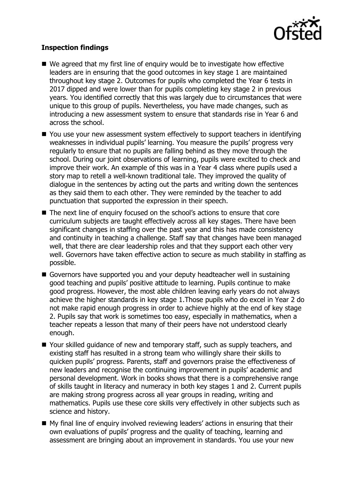

# **Inspection findings**

- We agreed that my first line of enguiry would be to investigate how effective leaders are in ensuring that the good outcomes in key stage 1 are maintained throughout key stage 2. Outcomes for pupils who completed the Year 6 tests in 2017 dipped and were lower than for pupils completing key stage 2 in previous years. You identified correctly that this was largely due to circumstances that were unique to this group of pupils. Nevertheless, you have made changes, such as introducing a new assessment system to ensure that standards rise in Year 6 and across the school.
- You use your new assessment system effectively to support teachers in identifying weaknesses in individual pupils' learning. You measure the pupils' progress very regularly to ensure that no pupils are falling behind as they move through the school. During our joint observations of learning, pupils were excited to check and improve their work. An example of this was in a Year 4 class where pupils used a story map to retell a well-known traditional tale. They improved the quality of dialogue in the sentences by acting out the parts and writing down the sentences as they said them to each other. They were reminded by the teacher to add punctuation that supported the expression in their speech.
- The next line of enquiry focused on the school's actions to ensure that core curriculum subjects are taught effectively across all key stages. There have been significant changes in staffing over the past year and this has made consistency and continuity in teaching a challenge. Staff say that changes have been managed well, that there are clear leadership roles and that they support each other very well. Governors have taken effective action to secure as much stability in staffing as possible.
- Governors have supported you and your deputy headteacher well in sustaining good teaching and pupils' positive attitude to learning. Pupils continue to make good progress. However, the most able children leaving early years do not always achieve the higher standards in key stage 1.Those pupils who do excel in Year 2 do not make rapid enough progress in order to achieve highly at the end of key stage 2. Pupils say that work is sometimes too easy, especially in mathematics, when a teacher repeats a lesson that many of their peers have not understood clearly enough.
- Your skilled quidance of new and temporary staff, such as supply teachers, and existing staff has resulted in a strong team who willingly share their skills to quicken pupils' progress. Parents, staff and governors praise the effectiveness of new leaders and recognise the continuing improvement in pupils' academic and personal development. Work in books shows that there is a comprehensive range of skills taught in literacy and numeracy in both key stages 1 and 2. Current pupils are making strong progress across all year groups in reading, writing and mathematics. Pupils use these core skills very effectively in other subjects such as science and history.
- My final line of enquiry involved reviewing leaders' actions in ensuring that their own evaluations of pupils' progress and the quality of teaching, learning and assessment are bringing about an improvement in standards. You use your new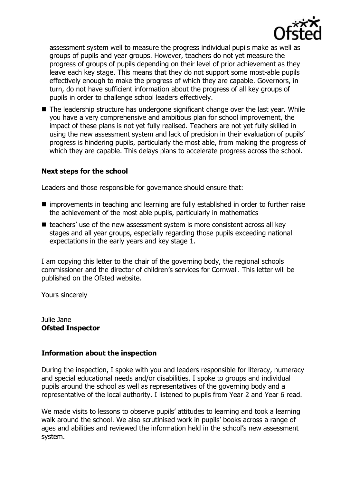

assessment system well to measure the progress individual pupils make as well as groups of pupils and year groups. However, teachers do not yet measure the progress of groups of pupils depending on their level of prior achievement as they leave each key stage. This means that they do not support some most-able pupils effectively enough to make the progress of which they are capable. Governors, in turn, do not have sufficient information about the progress of all key groups of pupils in order to challenge school leaders effectively.

■ The leadership structure has undergone significant change over the last year. While you have a very comprehensive and ambitious plan for school improvement, the impact of these plans is not yet fully realised. Teachers are not yet fully skilled in using the new assessment system and lack of precision in their evaluation of pupils' progress is hindering pupils, particularly the most able, from making the progress of which they are capable. This delays plans to accelerate progress across the school.

# **Next steps for the school**

Leaders and those responsible for governance should ensure that:

- improvements in teaching and learning are fully established in order to further raise the achievement of the most able pupils, particularly in mathematics
- $\blacksquare$  teachers' use of the new assessment system is more consistent across all key stages and all year groups, especially regarding those pupils exceeding national expectations in the early years and key stage 1.

I am copying this letter to the chair of the governing body, the regional schools commissioner and the director of children's services for Cornwall. This letter will be published on the Ofsted website.

Yours sincerely

Julie Jane **Ofsted Inspector**

## **Information about the inspection**

During the inspection, I spoke with you and leaders responsible for literacy, numeracy and special educational needs and/or disabilities. I spoke to groups and individual pupils around the school as well as representatives of the governing body and a representative of the local authority. I listened to pupils from Year 2 and Year 6 read.

We made visits to lessons to observe pupils' attitudes to learning and took a learning walk around the school. We also scrutinised work in pupils' books across a range of ages and abilities and reviewed the information held in the school's new assessment system.